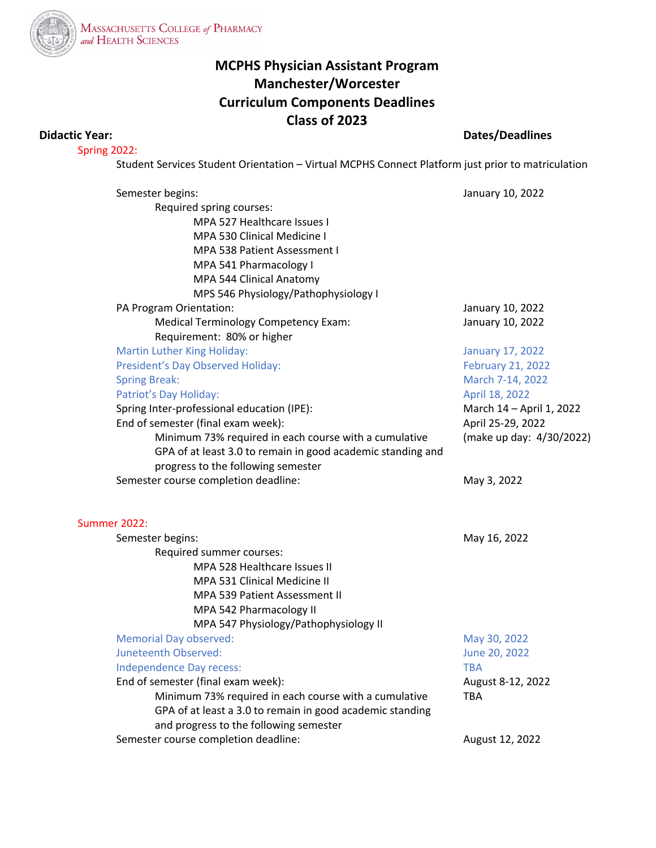

## **MCPHS Physician Assistant Program Manchester/Worcester Curriculum Components Deadlines Class of 2023**

## **Didactic Year: Dates/Deadlines**

Spring 2022:

Student Services Student Orientation – Virtual MCPHS Connect Platform just prior to matriculation

| Semester begins:                                            | January 10, 2022         |
|-------------------------------------------------------------|--------------------------|
| Required spring courses:                                    |                          |
| MPA 527 Healthcare Issues I                                 |                          |
| MPA 530 Clinical Medicine I                                 |                          |
| <b>MPA 538 Patient Assessment I</b>                         |                          |
| MPA 541 Pharmacology I                                      |                          |
| MPA 544 Clinical Anatomy                                    |                          |
| MPS 546 Physiology/Pathophysiology I                        |                          |
| PA Program Orientation:                                     | January 10, 2022         |
| <b>Medical Terminology Competency Exam:</b>                 | January 10, 2022         |
| Requirement: 80% or higher                                  |                          |
| <b>Martin Luther King Holiday:</b>                          | <b>January 17, 2022</b>  |
| President's Day Observed Holiday:                           | February 21, 2022        |
| <b>Spring Break:</b>                                        | March 7-14, 2022         |
| Patriot's Day Holiday:                                      | April 18, 2022           |
| Spring Inter-professional education (IPE):                  | March 14 - April 1, 2022 |
| End of semester (final exam week):                          | April 25-29, 2022        |
| Minimum 73% required in each course with a cumulative       | (make up day: 4/30/2022) |
| GPA of at least 3.0 to remain in good academic standing and |                          |
| progress to the following semester                          |                          |
| Semester course completion deadline:                        | May 3, 2022              |
| <b>Summer 2022:</b>                                         |                          |
| Semester begins:                                            | May 16, 2022             |
| Required summer courses:                                    |                          |
| MPA 528 Healthcare Issues II                                |                          |
| <b>MPA 531 Clinical Medicine II</b>                         |                          |
| MPA 539 Patient Assessment II                               |                          |
| MPA 542 Pharmacology II                                     |                          |
| MPA 547 Physiology/Pathophysiology II                       |                          |
| <b>Memorial Day observed:</b>                               | May 30, 2022             |
| Juneteenth Observed:                                        | June 20, 2022            |
| Independence Day recess:                                    | <b>TBA</b>               |
| End of semester (final exam week):                          | August 8-12, 2022        |
| Minimum 73% required in each course with a cumulative       | <b>TBA</b>               |
| GPA of at least a 3.0 to remain in good academic standing   |                          |
| and progress to the following semester                      |                          |
| Semester course completion deadline:                        | August 12, 2022          |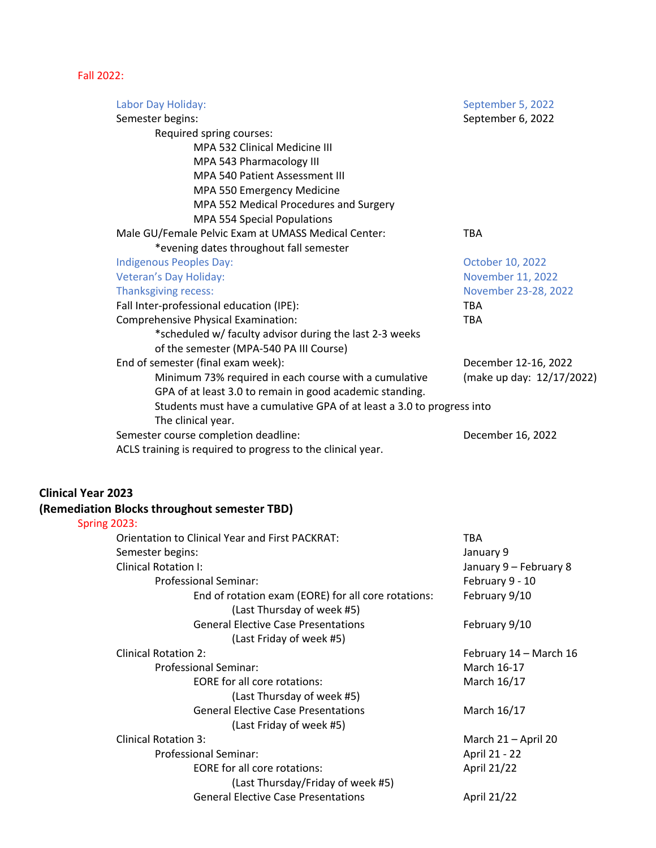## Fall 2022:

| Labor Day Holiday:                                                     | September 5, 2022         |
|------------------------------------------------------------------------|---------------------------|
| Semester begins:                                                       | September 6, 2022         |
| Required spring courses:                                               |                           |
| MPA 532 Clinical Medicine III                                          |                           |
| MPA 543 Pharmacology III                                               |                           |
| <b>MPA 540 Patient Assessment III</b>                                  |                           |
| MPA 550 Emergency Medicine                                             |                           |
| MPA 552 Medical Procedures and Surgery                                 |                           |
| MPA 554 Special Populations                                            |                           |
| Male GU/Female Pelvic Exam at UMASS Medical Center:                    | <b>TBA</b>                |
| *evening dates throughout fall semester                                |                           |
| <b>Indigenous Peoples Day:</b>                                         | October 10, 2022          |
| Veteran's Day Holiday:                                                 | November 11, 2022         |
| Thanksgiving recess:                                                   | November 23-28, 2022      |
| Fall Inter-professional education (IPE):                               | <b>TBA</b>                |
| Comprehensive Physical Examination:                                    | <b>TBA</b>                |
| *scheduled w/ faculty advisor during the last 2-3 weeks                |                           |
| of the semester (MPA-540 PA III Course)                                |                           |
| End of semester (final exam week):                                     | December 12-16, 2022      |
| Minimum 73% required in each course with a cumulative                  | (make up day: 12/17/2022) |
| GPA of at least 3.0 to remain in good academic standing.               |                           |
| Students must have a cumulative GPA of at least a 3.0 to progress into |                           |
| The clinical year.                                                     |                           |
| Semester course completion deadline:                                   | December 16, 2022         |
| ACLS training is required to progress to the clinical year.            |                           |
| <b>Clinical Year 2023</b>                                              |                           |
| (Remediation Blocks throughout semester TBD)                           |                           |
| <b>Spring 2023:</b>                                                    |                           |
| <b>Orientation to Clinical Year and First PACKRAT:</b>                 | <b>TBA</b>                |
| Semester begins:                                                       | January 9                 |
| <b>Clinical Rotation I:</b>                                            | January 9 - February 8    |
| <b>Professional Seminar:</b>                                           | February 9 - 10           |
| End of rotation exam (EORE) for all core rotations:                    | February 9/10             |

(Last Thursday of week #5)

| <b>General Elective Case Presentations</b> | February 9/10          |
|--------------------------------------------|------------------------|
| (Last Friday of week #5)                   |                        |
| <b>Clinical Rotation 2:</b>                | February 14 - March 16 |
| <b>Professional Seminar:</b>               | March 16-17            |
| <b>EORE</b> for all core rotations:        | March 16/17            |
| (Last Thursday of week #5)                 |                        |
| <b>General Elective Case Presentations</b> | March 16/17            |
| (Last Friday of week #5)                   |                        |
| <b>Clinical Rotation 3:</b>                | March 21 - April 20    |
| <b>Professional Seminar:</b>               | April 21 - 22          |
| <b>EORE</b> for all core rotations:        | April 21/22            |
| (Last Thursday/Friday of week #5)          |                        |
| <b>General Elective Case Presentations</b> | April 21/22            |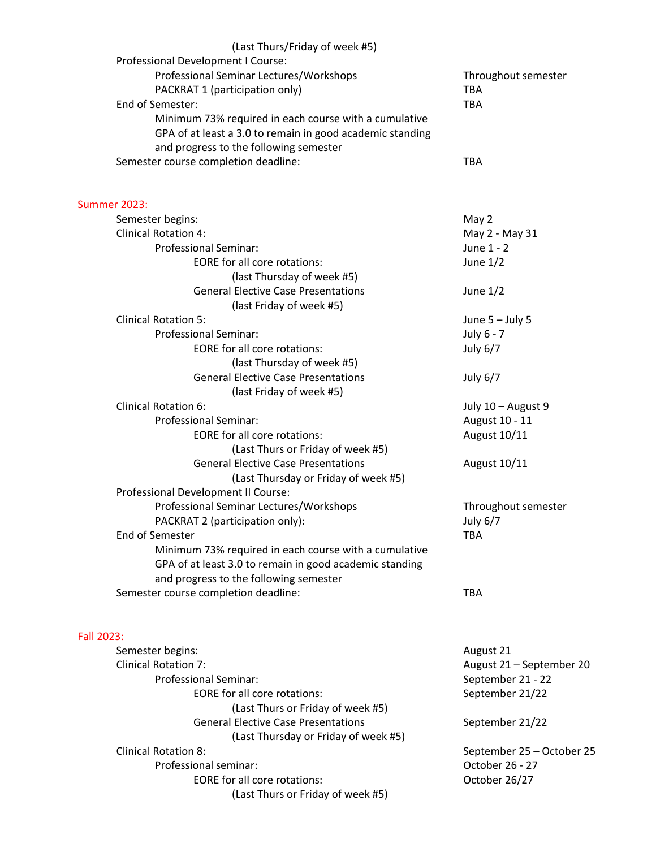| (Last Thurs/Friday of week #5)<br>Professional Development I Course:<br>Professional Seminar Lectures/Workshops<br>PACKRAT 1 (participation only)<br>End of Semester:                                | Throughout semester<br><b>TBA</b><br><b>TBA</b> |
|------------------------------------------------------------------------------------------------------------------------------------------------------------------------------------------------------|-------------------------------------------------|
| Minimum 73% required in each course with a cumulative<br>GPA of at least a 3.0 to remain in good academic standing<br>and progress to the following semester<br>Semester course completion deadline: | <b>TBA</b>                                      |
| <b>Summer 2023:</b>                                                                                                                                                                                  |                                                 |
| Semester begins:                                                                                                                                                                                     | May 2                                           |
| <b>Clinical Rotation 4:</b>                                                                                                                                                                          | May 2 - May 31                                  |
| <b>Professional Seminar:</b>                                                                                                                                                                         | June 1 - 2                                      |
| <b>EORE for all core rotations:</b>                                                                                                                                                                  | June $1/2$                                      |
| (last Thursday of week #5)                                                                                                                                                                           |                                                 |
| <b>General Elective Case Presentations</b>                                                                                                                                                           | June $1/2$                                      |
| (last Friday of week #5)                                                                                                                                                                             |                                                 |
| <b>Clinical Rotation 5:</b>                                                                                                                                                                          | June $5 -$ July 5                               |
| <b>Professional Seminar:</b>                                                                                                                                                                         | July 6 - 7                                      |
| <b>EORE for all core rotations:</b>                                                                                                                                                                  | July 6/7                                        |
| (last Thursday of week #5)                                                                                                                                                                           |                                                 |
| <b>General Elective Case Presentations</b><br>(last Friday of week #5)                                                                                                                               | July 6/7                                        |
| <b>Clinical Rotation 6:</b>                                                                                                                                                                          | July 10 - August 9                              |
| <b>Professional Seminar:</b>                                                                                                                                                                         | August 10 - 11                                  |
| <b>EORE for all core rotations:</b>                                                                                                                                                                  | August 10/11                                    |
| (Last Thurs or Friday of week #5)                                                                                                                                                                    |                                                 |
| <b>General Elective Case Presentations</b>                                                                                                                                                           | August 10/11                                    |
| (Last Thursday or Friday of week #5)                                                                                                                                                                 |                                                 |
| Professional Development II Course:                                                                                                                                                                  |                                                 |
| Professional Seminar Lectures/Workshops                                                                                                                                                              | Throughout semester                             |
| PACKRAT 2 (participation only):                                                                                                                                                                      | July 6/7                                        |
| End of Semester                                                                                                                                                                                      | <b>TBA</b>                                      |
| Minimum 73% required in each course with a cumulative<br>GPA of at least 3.0 to remain in good academic standing                                                                                     |                                                 |
| and progress to the following semester                                                                                                                                                               |                                                 |
| Semester course completion deadline:                                                                                                                                                                 | <b>TBA</b>                                      |
|                                                                                                                                                                                                      |                                                 |
| Fall 2023:                                                                                                                                                                                           |                                                 |
| Semester begins:<br><b>Clinical Rotation 7:</b>                                                                                                                                                      | August 21                                       |
| <b>Professional Seminar:</b>                                                                                                                                                                         | August 21 - September 20                        |
| <b>EORE for all core rotations:</b>                                                                                                                                                                  | September 21 - 22<br>September 21/22            |
| (Last Thurs or Friday of week #5)                                                                                                                                                                    |                                                 |
| <b>General Elective Case Presentations</b>                                                                                                                                                           | September 21/22                                 |
| (Last Thursday or Friday of week #5)                                                                                                                                                                 |                                                 |
| <b>Clinical Rotation 8:</b>                                                                                                                                                                          | September 25 - October 25                       |
| Professional seminar:                                                                                                                                                                                | October 26 - 27                                 |
| EORE for all core rotations:                                                                                                                                                                         | October 26/27                                   |
| (Last Thurs or Friday of week #5)                                                                                                                                                                    |                                                 |